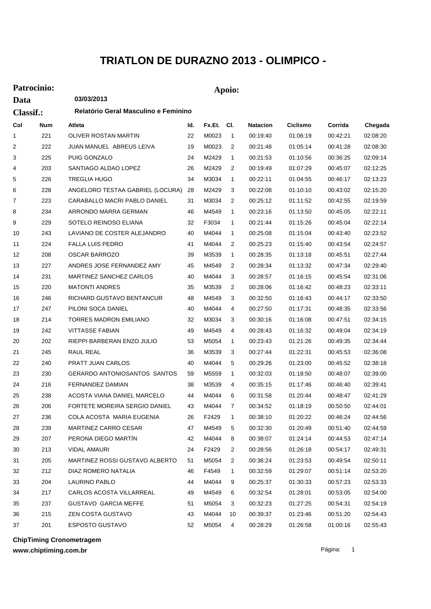## **TRIATLON DE DURAZNO 2013 - OLIMPICO -**

## **Patrocinio: Apoio:**

| Data             |     | 03/03/2013                           |     |        |                |                 |          |          |          |
|------------------|-----|--------------------------------------|-----|--------|----------------|-----------------|----------|----------|----------|
| <b>Classif.:</b> |     | Relatório Geral Masculino e Feminino |     |        |                |                 |          |          |          |
| Col              | Num | Atleta                               | ld. | Fx.Et. | CI.            | <b>Natacion</b> | Ciclismo | Corrida  | Chegada  |
| 1                | 221 | OLIVER ROSTAN MARTIN                 | 22  | M0023  | $\mathbf{1}$   | 00:19:40        | 01:06:19 | 00:42:21 | 02:08:20 |
| 2                | 222 | JUAN MANUEL ABREUS LEIVA             | 19  | M0023  | 2              | 00:21:48        | 01:05:14 | 00:41:28 | 02:08:30 |
| 3                | 225 | PUIG GONZALO                         | 24  | M2429  | 1              | 00:21:53        | 01:10:56 | 00:36:25 | 02:09:14 |
| 4                | 203 | SANTIAGO ALDAO LOPEZ                 | 26  | M2429  | 2              | 00:19:49        | 01:07:29 | 00:45:07 | 02:12:25 |
| 5                | 226 | <b>TREGLIA HUGO</b>                  | 34  | M3034  | 1              | 00:22:11        | 01:04:55 | 00:46:17 | 02:13:23 |
| 6                | 228 | ANGELORO TESTAA GABRIEL (LOCURA)     | 28  | M2429  | 3              | 00:22:08        | 01:10:10 | 00:43:02 | 02:15:20 |
| 7                | 223 | CARABALLO MACRI PABLO DANIEL         | 31  | M3034  | 2              | 00:25:12        | 01:11:52 | 00:42:55 | 02:19:59 |
| 8                | 234 | ARRONDO MARRA GERMAN                 | 46  | M4549  | 1              | 00:23:16        | 01:13:50 | 00:45:05 | 02:22:11 |
| 9                | 229 | SOTELO REINOSO ELIANA                | 32  | F3034  | 1              | 00:21:44        | 01:15:26 | 00:45:04 | 02:22:14 |
| 10               | 243 | LAVIANO DE COSTER ALEJANDRO          | 40  | M4044  | 1              | 00:25:08        | 01:15:04 | 00:43:40 | 02:23:52 |
| 11               | 224 | <b>FALLA LUIS PEDRO</b>              | 41  | M4044  | 2              | 00:25:23        | 01:15:40 | 00:43:54 | 02:24:57 |
| 12               | 208 | <b>OSCAR BARROZO</b>                 | 39  | M3539  | 1              | 00:28:35        | 01:13:18 | 00:45:51 | 02:27:44 |
| 13               | 227 | ANDRES JOSE FERNANDEZ AMY            | 45  | M4549  | 2              | 00:28:34        | 01:13:32 | 00:47:34 | 02:29:40 |
| 14               | 231 | MARTINEZ SANCHEZ CARLOS              | 40  | M4044  | 3              | 00:28:57        | 01:16:15 | 00:45:54 | 02:31:06 |
| 15               | 220 | <b>MATONTI ANDRES</b>                | 35  | M3539  | 2              | 00:28:06        | 01:16:42 | 00:48:23 | 02:33:11 |
| 16               | 246 | RICHARD GUSTAVO BENTANCUR            | 48  | M4549  | 3              | 00:32:50        | 01:16:43 | 00:44:17 | 02:33:50 |
| 17               | 247 | PILONI SOCA DANIEL                   | 40  | M4044  | 4              | 00:27:50        | 01:17:31 | 00:48:35 | 02:33:56 |
| 18               | 214 | <b>TORRES MADRON EMILIANO</b>        | 32  | M3034  | 3              | 00:30:16        | 01:16:08 | 00:47:51 | 02:34:15 |
| 19               | 242 | <b>VITTASSE FABIAN</b>               | 49  | M4549  | 4              | 00:28:43        | 01:16:32 | 00:49:04 | 02:34:19 |
| 20               | 202 | RIEPPI BARBERAN ENZO JULIO           | 53  | M5054  | 1              | 00:23:43        | 01:21:26 | 00:49:35 | 02:34:44 |
| 21               | 245 | RAUL REAL                            | 36  | M3539  | 3              | 00:27:44        | 01:22:31 | 00:45:53 | 02:36:08 |
| 22               | 240 | PRATT JUAN CARLOS                    | 40  | M4044  | 5              | 00:29:26        | 01:23:00 | 00:45:52 | 02:38:18 |
| 23               | 230 | <b>GERARDO ANTONIOSANTOS SANTOS</b>  | 59  | M5559  | 1              | 00:32:03        | 01:18:50 | 00:48:07 | 02:39:00 |
| 24               | 216 | <b>FERNANDEZ DAMIAN</b>              | 38  | M3539  | 4              | 00:35:15        | 01:17:46 | 00:46:40 | 02:39:41 |
| 25               | 238 | ACOSTA VIANA DANIEL MARCELO          | 44  | M4044  | 6              | 00:31:58        | 01:20:44 | 00:48:47 | 02:41:29 |
| 26               | 206 | FORTETE MOREIRA SERGIO DANIEL        | 43  | M4044  | $\overline{7}$ | 00:34:52        | 01:18:19 | 00:50:50 | 02:44:01 |
| 27               | 236 | COLA ACOSTA MARIA EUGENIA            | 26  | F2429  | 1              | 00:38:10        | 01:20:22 | 00:46:24 | 02:44:56 |
| 28               | 239 | MARTINEZ CARRO CESAR                 | 47  | M4549  | 5              | 00:32:30        | 01:20:49 | 00:51:40 | 02:44:59 |
| 29               | 207 | PERONA DIEGO MARTÍN                  | 42  | M4044  | 8              | 00:38:07        | 01:24:14 | 00:44:53 | 02:47:14 |
| 30               | 213 | VIDAL AMAURI                         | 24  | F2429  | 2              | 00:28:56        | 01:26:18 | 00:54:17 | 02:49:31 |
| 31               | 205 | MARTINEZ ROSSI GUSTAVO ALBERTO       | 51  | M5054  | 2              | 00:36:24        | 01:23:53 | 00:49:54 | 02:50:11 |
| 32               | 212 | DIAZ ROMERO NATALIA                  | 46  | F4549  | 1              | 00:32:59        | 01:29:07 | 00:51:14 | 02:53:20 |
| 33               | 204 | LAURINO PABLO                        | 44  | M4044  | 9              | 00:25:37        | 01:30:33 | 00:57:23 | 02:53:33 |
| 34               | 217 | CARLOS ACOSTA VILLARREAL             | 49  | M4549  | 6              | 00:32:54        | 01:28:01 | 00:53:05 | 02:54:00 |
| 35               | 237 | <b>GUSTAVO GARCIA MEFFE</b>          | 51  | M5054  | 3              | 00:32:23        | 01:27:25 | 00:54:31 | 02:54:19 |
| 36               | 215 | ZEN COSTA GUSTAVO                    | 43  | M4044  | 10             | 00:39:37        | 01:23:46 | 00:51:20 | 02:54:43 |
| 37               | 201 | <b>ESPOSTO GUSTAVO</b>               | 52  | M5054  | 4              | 00:28:29        | 01:26:58 | 01:00:16 | 02:55:43 |

**ChipTiming Cronometragem**

**www.chiptiming.com.br**

Página: 1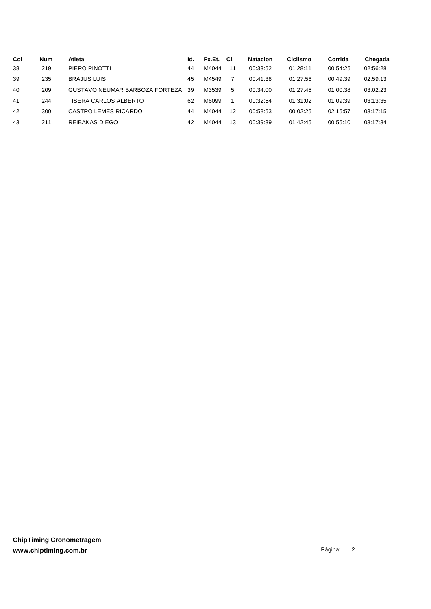| Col | <b>Num</b> | Atleta                                | Id. | Fx.Et. | CI. | <b>Natacion</b> | <b>Ciclismo</b> | Corrida  | Chegada  |
|-----|------------|---------------------------------------|-----|--------|-----|-----------------|-----------------|----------|----------|
| 38  | 219        | PIERO PINOTTI                         | 44  | M4044  | 11  | 00:33:52        | 01:28:11        | 00:54:25 | 02:56:28 |
| 39  | 235        | <b>BRAJÚS LUIS</b>                    | 45  | M4549  |     | 00:41:38        | 01:27:56        | 00:49:39 | 02:59:13 |
| 40  | 209        | <b>GUSTAVO NEUMAR BARBOZA FORTEZA</b> | 39  | M3539  | 5   | 00:34:00        | 01:27:45        | 01:00:38 | 03:02:23 |
| 41  | 244        | TISERA CARLOS ALBERTO                 | 62  | M6099  |     | 00:32:54        | 01:31:02        | 01:09:39 | 03:13:35 |
| 42  | 300        | CASTRO LEMES RICARDO                  | 44  | M4044  | 12  | 00:58:53        | 00:02:25        | 02:15:57 | 03:17:15 |
| 43  | 211        | <b>REIBAKAS DIEGO</b>                 | 42  | M4044  | 13  | 00:39:39        | 01:42:45        | 00:55:10 | 03:17:34 |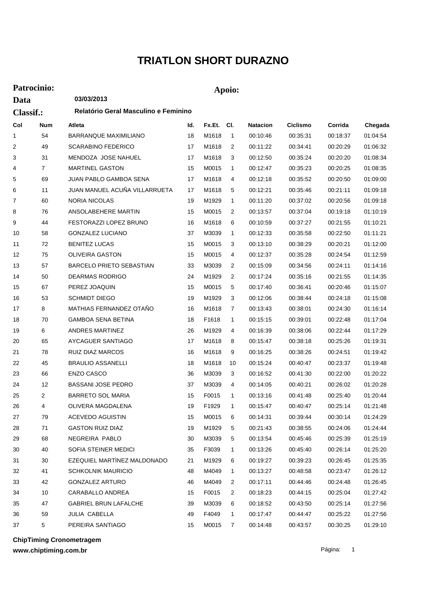## **TRIATLON SHORT DURAZNO**

| Patrocinio:                                              |                |                               |     | Apoio: |                |                 |          |          |          |
|----------------------------------------------------------|----------------|-------------------------------|-----|--------|----------------|-----------------|----------|----------|----------|
| 03/03/2013<br>Data                                       |                |                               |     |        |                |                 |          |          |          |
| Relatório Geral Masculino e Feminino<br><b>Classif.:</b> |                |                               |     |        |                |                 |          |          |          |
| Col                                                      | <b>Num</b>     | Atleta                        | ld. | Fx.Et. | CI.            | <b>Natacion</b> | Ciclismo | Corrida  | Chegada  |
| 1                                                        | 54             | BARRANQUE MAXIMILIANO         | 18  | M1618  | 1              | 00:10:46        | 00:35:31 | 00:18:37 | 01:04:54 |
| 2                                                        | 49             | <b>SCARABINO FEDERICO</b>     | 17  | M1618  | 2              | 00:11:22        | 00:34:41 | 00:20:29 | 01:06:32 |
| 3                                                        | 31             | MENDOZA JOSE NAHUEL           | 17  | M1618  | 3              | 00:12:50        | 00:35:24 | 00:20:20 | 01:08:34 |
| 4                                                        | $\overline{7}$ | <b>MARTINEL GASTON</b>        | 15  | M0015  | 1              | 00:12:47        | 00:35:23 | 00:20:25 | 01:08:35 |
| 5                                                        | 69             | JUAN PABLO GAMBOA SENA        | 17  | M1618  | 4              | 00:12:18        | 00:35:52 | 00:20:50 | 01:09:00 |
| 6                                                        | 11             | JUAN MANUEL ACUÑA VILLARRUETA | 17  | M1618  | 5              | 00:12:21        | 00:35:46 | 00:21:11 | 01:09:18 |
| 7                                                        | 60             | <b>NORIA NICOLAS</b>          | 19  | M1929  | 1              | 00:11:20        | 00:37:02 | 00:20:56 | 01:09:18 |
| 8                                                        | 76             | ANSOLABEHERE MARTIN           | 15  | M0015  | $\overline{2}$ | 00:13:57        | 00:37:04 | 00:19:18 | 01:10:19 |
| 9                                                        | 44             | FESTORAZZI LOPEZ BRUNO        | 16  | M1618  | 6              | 00:10:59        | 00:37:27 | 00:21:55 | 01:10:21 |
| 10                                                       | 58             | <b>GONZALEZ LUCIANO</b>       | 37  | M3039  | 1              | 00:12:33        | 00:35:58 | 00:22:50 | 01:11:21 |
| 11                                                       | 72             | <b>BENITEZ LUCAS</b>          | 15  | M0015  | 3              | 00:13:10        | 00:38:29 | 00:20:21 | 01:12:00 |
| 12                                                       | 75             | <b>OLIVEIRA GASTON</b>        | 15  | M0015  | 4              | 00:12:37        | 00:35:28 | 00:24:54 | 01:12:59 |
| 13                                                       | 57             | BARCELO PRIETO SEBASTIAN      | 33  | M3039  | 2              | 00:15:09        | 00:34:56 | 00:24:11 | 01:14:16 |
| 14                                                       | 50             | <b>DEARMAS RODRIGO</b>        | 24  | M1929  | 2              | 00:17:24        | 00:35:16 | 00:21:55 | 01:14:35 |
| 15                                                       | 67             | PEREZ JOAQUIN                 | 15  | M0015  | 5              | 00:17:40        | 00:36:41 | 00:20:46 | 01:15:07 |
| 16                                                       | 53             | <b>SCHMIDT DIEGO</b>          | 19  | M1929  | 3              | 00:12:06        | 00:38:44 | 00:24:18 | 01:15:08 |
| 17                                                       | 8              | MATHIAS FERNANDEZ OTAÑO       | 16  | M1618  | 7              | 00:13:43        | 00:38:01 | 00:24:30 | 01:16:14 |
| 18                                                       | 70             | <b>GAMBOA SENA BETINA</b>     | 18  | F1618  | 1              | 00:15:15        | 00:39:01 | 00:22:48 | 01:17:04 |
| 19                                                       | 6              | ANDRES MARTINEZ               | 26  | M1929  | 4              | 00:16:39        | 00:38:06 | 00:22:44 | 01:17:29 |
| 20                                                       | 65             | AYCAGUER SANTIAGO             | 17  | M1618  | 8              | 00:15:47        | 00:38:18 | 00:25:26 | 01:19:31 |
| 21                                                       | 78             | RUIZ DIAZ MARCOS              | 16  | M1618  | 9              | 00:16:25        | 00:38:26 | 00:24:51 | 01:19:42 |
| 22                                                       | 45             | <b>BRAULIO ASSANELLI</b>      | 18  | M1618  | 10             | 00:15:24        | 00:40:47 | 00:23:37 | 01:19:48 |
| 23                                                       | 66             | <b>ENZO CASCO</b>             | 36  | M3039  | 3              | 00:16:52        | 00:41:30 | 00:22:00 | 01:20:22 |
| 24                                                       | 12             | BASSANI JOSE PEDRO            | 37  | M3039  | 4              | 00:14:05        | 00:40:21 | 00:26:02 | 01:20:28 |
| 25                                                       | 2              | <b>BARRETO SOL MARIA</b>      | 15  | F0015  | 1              | 00:13:16        | 00:41:48 | 00:25:40 | 01:20:44 |
| 26                                                       | 4              | OLIVERA MAGDALENA             | 19  | F1929  | 1              | 00:15:47        | 00:40:47 | 00:25:14 | 01:21:48 |
| 27                                                       | 79             | ACEVEDO AGUISTIN              | 15  | M0015  | 6              | 00:14:31        | 00:39:44 | 00:30:14 | 01:24:29 |
| 28                                                       | 71             | <b>GASTON RUIZ DIAZ</b>       | 19  | M1929  | 5              | 00:21:43        | 00:38:55 | 00:24:06 | 01:24:44 |
| 29                                                       | 68             | NEGREIRA PABLO                | 30  | M3039  | 5              | 00:13:54        | 00:45:46 | 00:25:39 | 01:25:19 |
| 30                                                       | 40             | SOFIA STEINER MEDICI          | 35  | F3039  | 1              | 00:13:26        | 00:45:40 | 00:26:14 | 01:25:20 |
| 31                                                       | 30             | EZEQUIEL MARTINEZ MALDONADO   | 21  | M1929  | 6              | 00:19:27        | 00:39:23 | 00:26:45 | 01:25:35 |
| 32                                                       | 41             | <b>SCHKOLNIK MAURICIO</b>     | 48  | M4049  | 1              | 00:13:27        | 00:48:58 | 00:23:47 | 01:26:12 |
| 33                                                       | 42             | <b>GONZALEZ ARTURO</b>        | 46  | M4049  | 2              | 00:17:11        | 00:44:46 | 00:24:48 | 01:26:45 |
| 34                                                       | 10             | CARABALLO ANDREA              | 15  | F0015  | $\overline{2}$ | 00:18:23        | 00:44:15 | 00:25:04 | 01:27:42 |
| 35                                                       | 47             | <b>GABRIEL BRUN LAFALCHE</b>  | 39  | M3039  | 6              | 00:18:52        | 00:43:50 | 00:25:14 | 01:27:56 |
| 36                                                       | 59             | JULIA CABELLA                 | 49  | F4049  | 1              | 00:17:47        | 00:44:47 | 00:25:22 | 01:27:56 |
| 37                                                       | 5              | PEREIRA SANTIAGO              | 15  | M0015  | $\mathbf{7}$   | 00:14:48        | 00:43:57 | 00:30:25 | 01:29:10 |

**ChipTiming Cronometragem**

**www.chiptiming.com.br**

Página: 1